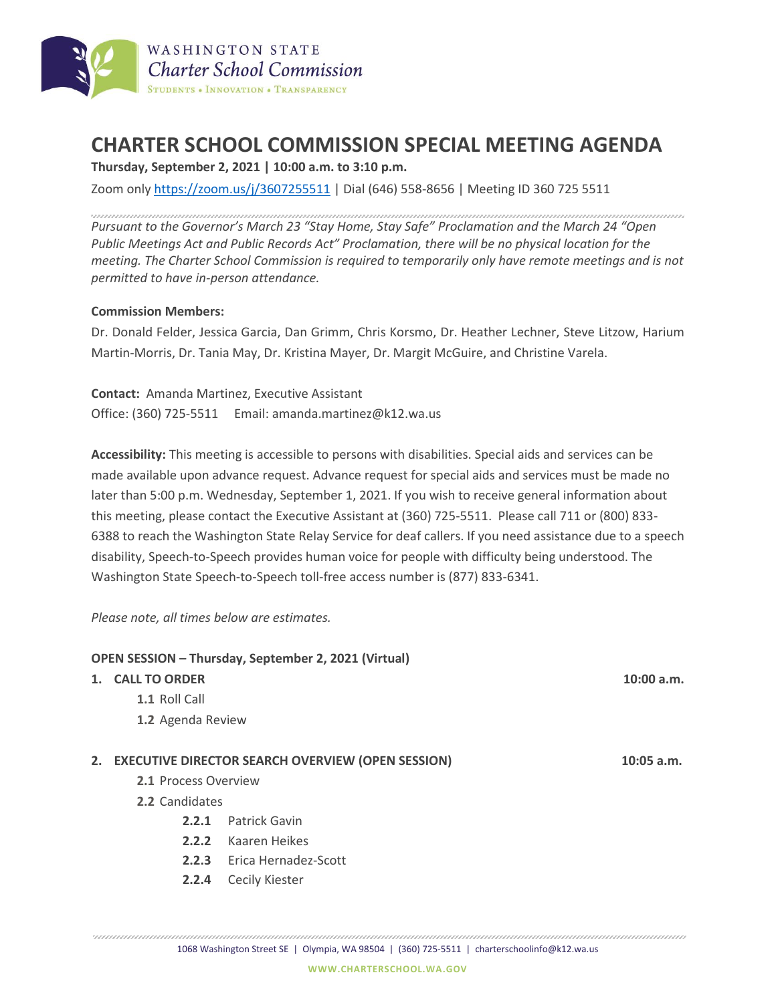

# **CHARTER SCHOOL COMMISSION SPECIAL MEETING AGENDA**

**Thursday, September 2, 2021 | 10:00 a.m. to 3:10 p.m.**

Zoom only <https://zoom.us/j/3607255511> | Dial (646) 558-8656 | Meeting ID 360 725 5511

*Pursuant to the Governor's March 23 "Stay Home, Stay Safe" Proclamation and the March 24 "Open Public Meetings Act and Public Records Act" Proclamation, there will be no physical location for the meeting. The Charter School Commission is required to temporarily only have remote meetings and is not permitted to have in-person attendance.*

## **Commission Members:**

Dr. Donald Felder, Jessica Garcia, Dan Grimm, Chris Korsmo, Dr. Heather Lechner, Steve Litzow, Harium Martin-Morris, Dr. Tania May, Dr. Kristina Mayer, Dr. Margit McGuire, and Christine Varela.

**Contact:** Amanda Martinez, Executive Assistant Office: (360) 725-5511 Email: amanda.martinez@k12.wa.us

**Accessibility:** This meeting is accessible to persons with disabilities. Special aids and services can be made available upon advance request. Advance request for special aids and services must be made no later than 5:00 p.m. Wednesday, September 1, 2021. If you wish to receive general information about this meeting, please contact the Executive Assistant at (360) 725-5511. Please call 711 or (800) 833- 6388 to reach the Washington State Relay Service for deaf callers. If you need assistance due to a speech disability, Speech-to-Speech provides human voice for people with difficulty being understood. The Washington State Speech-to-Speech toll-free access number is (877) 833-6341.

*Please note, all times below are estimates.*

## **OPEN SESSION – Thursday, September 2, 2021 (Virtual)**

### **1. CALL TO ORDER 10:00 a.m.**

- **1.1** Roll Call
- **1.2** Agenda Review

### **2. EXECUTIVE DIRECTOR SEARCH OVERVIEW (OPEN SESSION) 10:05 a.m.**

- **2.1** Process Overview
- **2.2** Candidates
	- **2.2.1** Patrick Gavin
	- **2.2.2** Kaaren Heikes
	- **2.2.3** Erica Hernadez-Scott
	- **2.2.4** Cecily Kiester